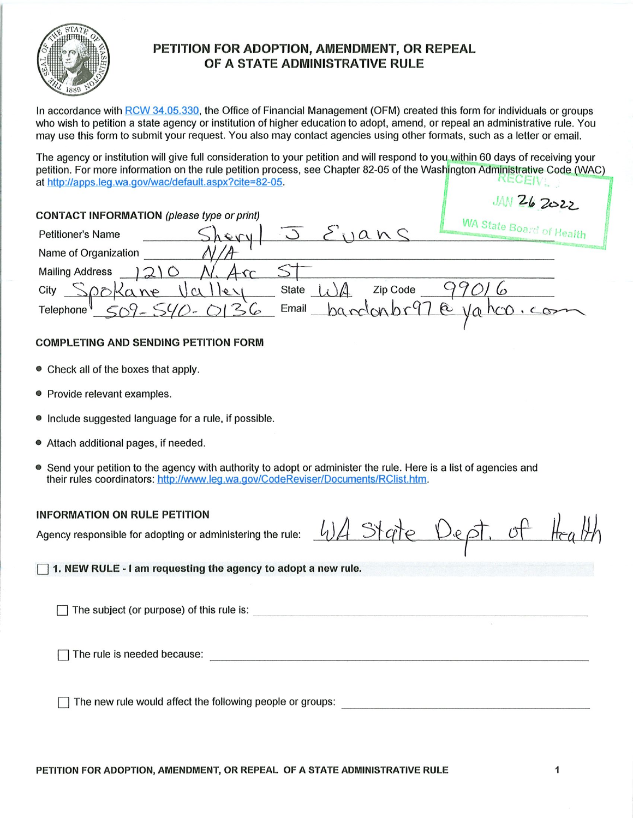

# PETITION FOR ADOPTION, AMENDMENT, OR REPEAL OF A STATE ADMINISTRATIVE RULE

In accordance with RCW 34.05.330, the Office of Financial Management (OFM) created this form for individuals or groups who wish to petition a state agency or institution of higher education to adopt, amend, or repeal an administrative rule. You may use this form to submit your request. You also may contact agencies using other formats, such as a letter or email.

The agency or institution will give fufl consideration to your petition and will respond to you within 60 days of receiving your petition. For more information on the rule petition process, see Chapter 82-05 of the Washington Administrative Code (WAC)<br>at http://anns.leg.wa.gov/wac/default.aspx?cite=82-05. at http://apps.leg.wa.gov/wac/defauft.aspx?cite=82-05.

|                                                                         | JAN 26 2022              |
|-------------------------------------------------------------------------|--------------------------|
| <b>CONTACT INFORMATION</b> (please type or print)                       |                          |
| n<<br><b>Petitioner's Name</b>                                          | WA State Board of Health |
| Name of Organization                                                    |                          |
| <b>Mailing Address</b>                                                  |                          |
| Zip Code<br><b>State</b><br>City<br>$ e \setminus$<br>$M\bigtriangleup$ |                          |
| Email<br>Telephone<br>$M_{\rm w}$                                       | $\alpha$                 |
|                                                                         |                          |

## COMPLETING AND SENDING PETITION FORM

- Check all of the boxes that apply.
- Provide relevant examples.
- Include suggested language for a rule, if possible.
- Attach additional pages, if needed.
- Send your petition to the agency with authority to adopt or administer the rule. Here is a list of agencies and their rules coordinators: http://www.leg.wa.gov/CodeReviser/Documents/RClist.htm.

#### **INFORMATION ON RULE PETITION**

Agency responsible for adopting or administering the rule:  $\frac{l}{2}$   $\rightarrow$   $\gamma$   $\rightarrow$   $\gamma$   $\rightarrow$   $\rightarrow$   $\gamma$   $\rightarrow$   $\gamma$   $\rightarrow$   $\gamma$ 

 $\exists$  1. NEW RULE - I am requesting the agency to adopt a new rule.

The subject (or purpose) of this rule is:

Q The rule is needed because:

 $\Box$  The new rule would affect the following people or groups: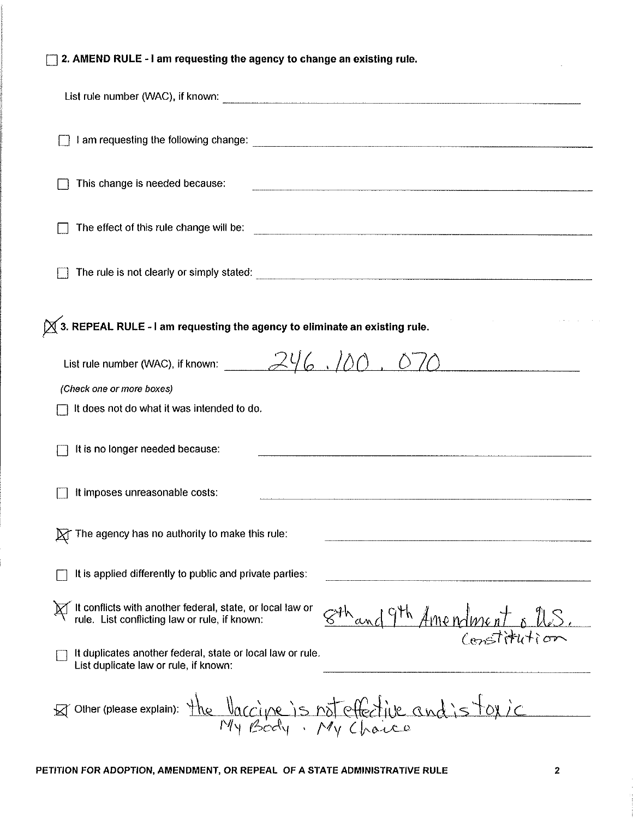| 2. AMEND RULE - I am requesting the agency to change an existing rule.                                                                                       |  |  |  |  |
|--------------------------------------------------------------------------------------------------------------------------------------------------------------|--|--|--|--|
|                                                                                                                                                              |  |  |  |  |
|                                                                                                                                                              |  |  |  |  |
| This change is needed because:                                                                                                                               |  |  |  |  |
|                                                                                                                                                              |  |  |  |  |
|                                                                                                                                                              |  |  |  |  |
| $\chi$ 3. REPEAL RULE - I am requesting the agency to eliminate an existing rule.                                                                            |  |  |  |  |
| (Check one or more boxes)<br>It does not do what it was intended to do.                                                                                      |  |  |  |  |
| It is no longer needed because:                                                                                                                              |  |  |  |  |
| It imposes unreasonable costs:                                                                                                                               |  |  |  |  |
| The agency has no authority to make this rule:                                                                                                               |  |  |  |  |
| It is applied differently to public and private parties:                                                                                                     |  |  |  |  |
| It conflicts with another federal, state, or local law or<br>rule. List conflicting law or rule, if known:<br>$844$ and 9th Americant plus<br>$($ mstitution |  |  |  |  |
| It duplicates another federal, state or local law or rule.<br>List duplicate law or rule, if known:                                                          |  |  |  |  |
| Other (please explain): the Vaccine is not effective and is toxic                                                                                            |  |  |  |  |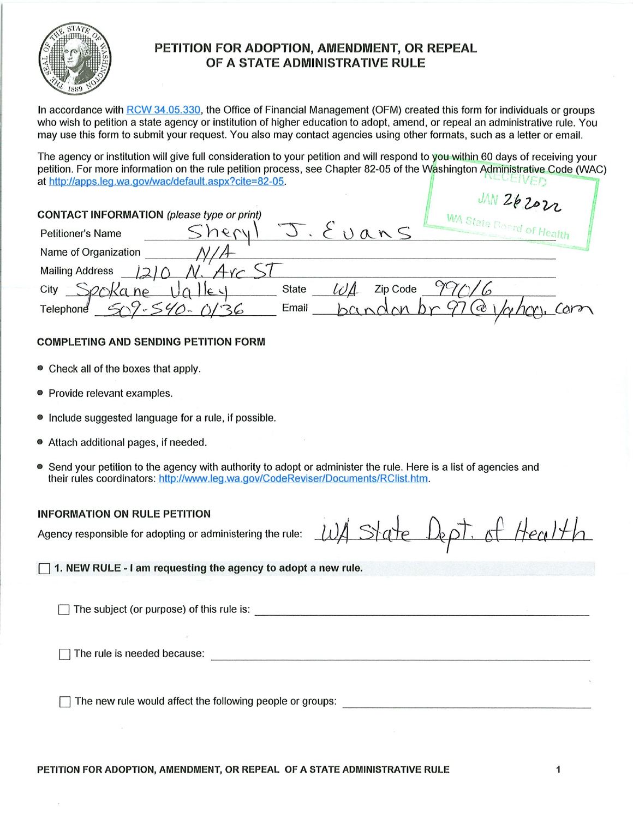

# PETITION FOR ADOPTION, AMENDMENT, OR REPEAL OF A STATE ADMINISTRATIVE RULE

In accordance with RCW 34,05.330, the Office of Financial Management (OFM) created this form for individuals or groups who wish to petition a state agency or institution of higher education to adopt, amend, or repeal an administrative rule. You may use this form to submit your request. You also may contact agencies using other formats, such as a letter or email.

The agency or institution will give full consideration to your petition and will respond to you within 60 days of receiving your petition. For more information on the rule petition process, see Chapter 82-05 of the Washington Administrative Code (WAC)<br>at http://anns.leg.wa.gov/wac/default.aspx?cite=82-05. at http://apps.leg.wa.gov/wac/default.aspx?cite=82-05.

|                                                   | UNZéZozz                 |
|---------------------------------------------------|--------------------------|
| <b>CONTACT INFORMATION</b> (please type or print) |                          |
| Uans<br>1991<br><b>Petitioner's Name</b>          | WA State Board of Health |
| Name of Organization                              |                          |
| <b>Mailing Address</b>                            |                          |
| Zip Code<br>City<br><b>State</b><br>E             |                          |
| Email<br>Telephone                                | $\omega$                 |

## COMPLETING AND SENDING PETITION FORM

- Check all of the boxes that apply.
- Provide relevant examples.
- include suggested language for a rule, if possible.
- Attach additional pages, if needed.
- Send your petition to the agency with authority to adopt or administer the rule. Here is a list of agencies and their rules coordinators: http://www.leg.wa.gov/CodeReviser/Documents/RCIist.htm.

#### INFORMATION ON RULE PETITION

Agency responsible for adopting or administering the rule:  $\omega$  State  $\Omega$ ept. of HealH

1. NEW RULE - I am requesting the agency to adopt a new rule.

The subject (or purpose) of this rule is:  $\Box$ 

The rule is needed because:

 $\Box$  The new rule would affect the following people or groups: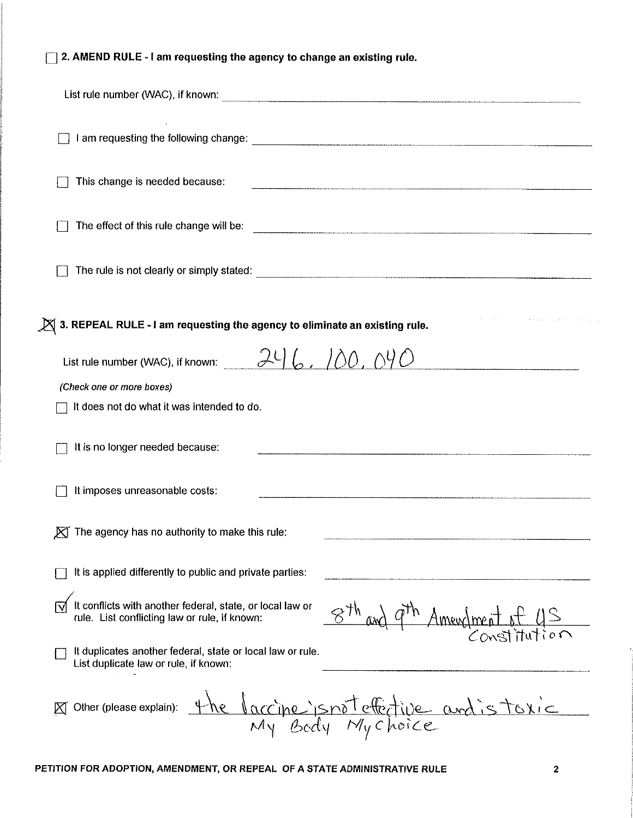|  |  |  |  | $\Box$ 2. AMEND RULE - I am requesting the agency to change an existing rule. |  |
|--|--|--|--|-------------------------------------------------------------------------------|--|
|  |  |  |  |                                                                               |  |

| This change is needed because:                                                                             |                                         |
|------------------------------------------------------------------------------------------------------------|-----------------------------------------|
|                                                                                                            |                                         |
|                                                                                                            |                                         |
| $\cancel{\boxtimes}$ 3. REPEAL RULE - I am requesting the agency to eliminate an existing rule.            |                                         |
| List rule number (WAC), if known: $246.700.090$                                                            |                                         |
| (Check one or more boxes)                                                                                  |                                         |
| It does not do what it was intended to do.                                                                 |                                         |
| It is no longer needed because:                                                                            |                                         |
| It imposes unreasonable costs:                                                                             |                                         |
| $\boxtimes$ The agency has no authority to make this rule:                                                 |                                         |
| It is applied differently to public and private parties:                                                   |                                         |
| It conflicts with another federal, state, or local law or<br>rule. List conflicting law or rule, if known: | $8th$ and $9th$ Amendment of US         |
| It duplicates another federal, state or local law or rule.<br>List duplicate law or rule, if known:        |                                         |
| Other (please explain):<br>Κſ                                                                              | the laccine isnoteffictive and is toxic |